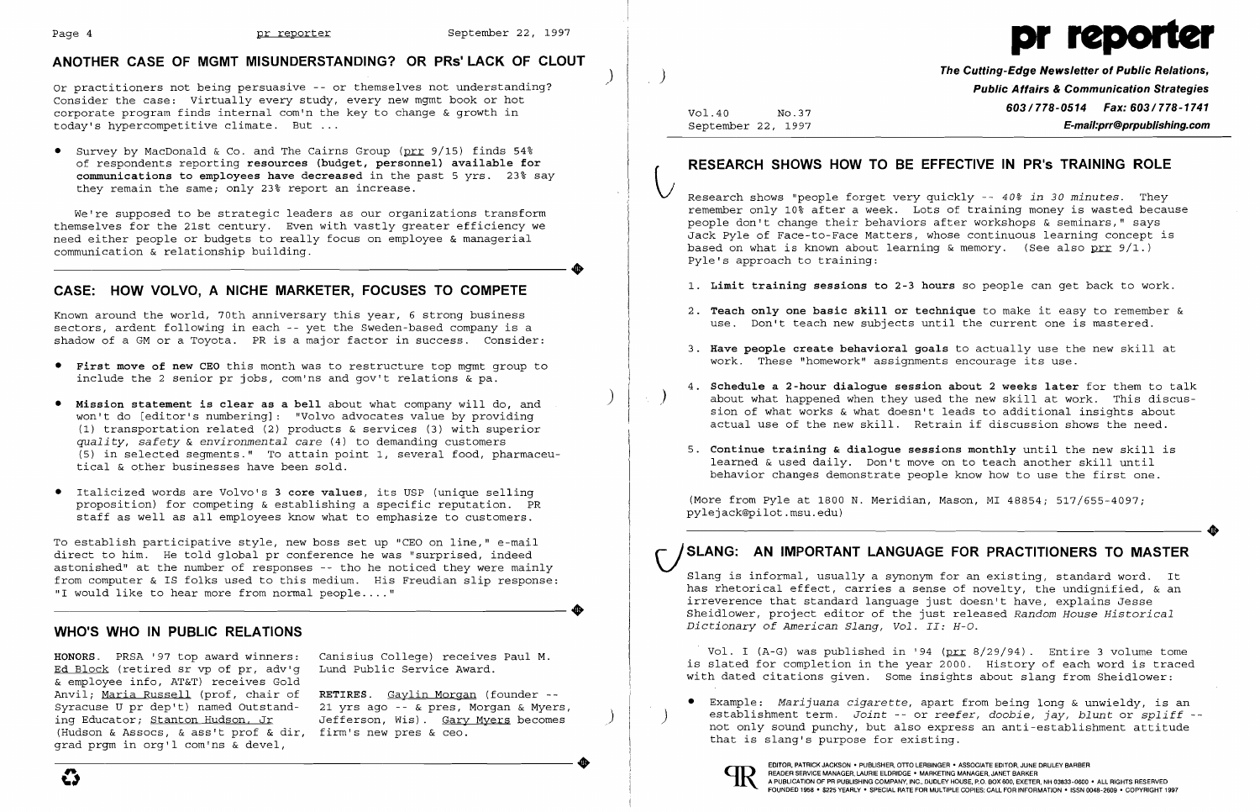

# **ANOTHER CASE OF MGMT MISUNDERSTANDING? OR PRs' LACK OF CLOUT**

Or practitioners not being persuasive -- or themselves not understanding? Consider the case: Virtually every study, every new mgmt book or hot corporate program finds internal com'n the key to change & growth in today's hypercompetitive climate. But ...

• Survey by MacDonald & Co. and The Cairns Group (prr 9/15) finds 54% of respondents reporting resources (budget, personnel) available for communications to employees have decreased in the past 5 yrs. 23% say they remain the same; only 23% report an increase.

We're supposed to be strategic leaders as our organizations transform themselves for the 21st century. Even with vastly greater efficiency we need either people or budgets to really focus on employee & managerial ----------------------+ communication & relationship building.

## **CASE: HOW VOLVO, A NICHE MARKETER, FOCUSES TO COMPETE**

To establish participative style, new boss set up "CEO on line," e-mail direct to him. He told global pr conference he was "surprised, indeed astonished" at the number of responses -- tho he noticed they were mainly from computer & IS folks used to this medium. His Freudian slip response:<br>"I would like to hear more from normal people...."<br>"I would like to hear more from normal people...." "I would like to hear more from normal people...."

Known around the world, 70th anniversary this year, 6 strong business sectors, ardent following in each -- yet the Sweden-based company is a shadow of a GM or a Toyota. PR is a major factor in success. Consider:

> RETIRES. Gaylin Morgan (founder --21 yrs ago -- & pres, Morgan & Myers, Jefferson, Wis). Gary Myers becomes

- • First move of new CEO this month was to restructure top mgmt group to include the 2 senior pr jobs, com'ns and gov't relations & pa.
- • Mission statement is clear as a bell about what company will do, and won't do [editor's numbering]: "Volvo advocates value by providing (1) transportation related (2) products & services (3) with superior *quality, safety* & *environmental care* (4) to demanding customers (5) in selected segments." To attain point 1, several food, pharmaceutical & other businesses have been sold.
- Italicized words are Volvo's 3 core values, its USP (unique selling proposition) for competing & establishing a specific reputation. PR staff as well as all employees know what to emphasize to customers.
- 1. Limit training sessions to 2-3 hours so people can get back to work.
- 2. Teach only one basic skill or technique to make it easy to remember & use. Don't teach new subjects until the current one is mastered.
- 3. Have people create behavioral goals to actually use the new skill at work. These "homework" assignments encourage its use.
- 
- 5. Continue training & dialogue sessions monthly until the new skill is learned & used daily. Don't move on to teach another skill until

## **WHO'S WHO IN PUBLIC RELATIONS**

HONORS. PRSA '97 top award winners: Ed Block (retired sr vp of pr, adv'g & employee info, AT&T) receives Gold Anvil; Maria Russell (prof, chair of Syracuse U pr dep't) named Outstanding Educator; Stanton Hudson, Jr (Hudson & Assocs, & ass't prof & dir, firm's new pres & ceo.<br>grad prgm in org'l com'ns & devel, grad prgm in org'l com'ns & devel,

Canisius College) receives Paul M. Lund Public Service Award.

G

)

)

 $\int$ 

, )

| Vol.40             | No.37 |
|--------------------|-------|
| September 22, 1997 |       |

# **RESEARCH SHOWS HOW TO BE EFFECTIVE IN PR's TRAINING ROLE**<br>Research shows "people forget very quickly -- 40% *in 30 minutes.* They

**The Cutting-Edge Newsletter of Public Relations, Public Affairs & Communication Strategies 603/778-0514 Fax: 603/778-1741 E-mail:prr@prpublishing.com** 

remember only 10% after a week. Lots of training money is wasted because people don't change their behaviors after workshops & seminars," says Jack Pyle of Face-to-Face Matters, whose continuous learning concept is based on what is known about learning & memory. (See also  $prr$  9/1.) Pyle's approach to training:

4. Schedule a 2-hour dialogue session about 2 weeks later for them to talk ) The constants a mode and declined when they used the new skill at work. This discussion of what works & what doesn't leads to additional insights about actual use of the new skill. Retrain if discussion shows the need.

behavior changes demonstrate people know how to use the first one.

(More from Pyle at 1800 N. Meridian, Mason, MI 48854; 517/655-4097; pylejack@pilot.msu.edu)

# SLANG: AN IMPORTANT LANGUAGE FOR PRACTITIONERS TO MASTER

Slang is informal, usually a synonym for an existing, standard word. It has rhetorical effect, carries a sense of novelty, the undignified, & an irreverence that standard language just doesn't have, explains Jesse Sheidlower, project editor of the just released *Random House Historical Dictionary of American Slang, Vol. II: H-O.* 

Vol. I (A-G) was published in '94 (prr 8/29/94). Entire 3 volume tome is slated for completion in the year 2000. History of each word is traced with dated citations given. Some insights about slang from Sheidlower:

• Example: *Marijuana cigarette,* apart from being long & unwieldy, is an that is slang's purpose for existing.



) establishment term. *Joint* -- or *reefer, doobie, jay, blunt* or *spliff*  not only sound punchy, but also express an anti-establishment attitude